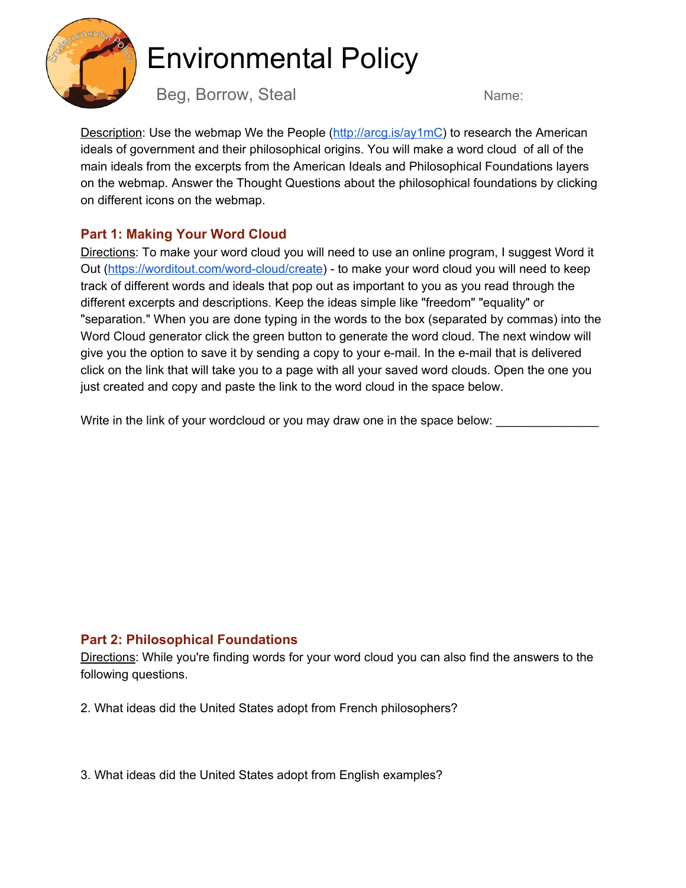

## Environmental Policy

Beg, Borrow, Steal Name:

Description: Use the webmap We the People (<http://arcg.is/ay1mC>) to research the American ideals of government and their philosophical origins. You will make a word cloud of all of the main ideals from the excerpts from the American Ideals and Philosophical Foundations layers on the webmap. Answer the Thought Questions about the philosophical foundations by clicking on different icons on the webmap.

## **Part 1: Making Your Word Cloud**

Directions: To make your word cloud you will need to use an online program, I suggest Word it Out (<https://worditout.com/word-cloud/create>) - to make your word cloud you will need to keep track of different words and ideals that pop out as important to you as you read through the different excerpts and descriptions. Keep the ideas simple like "freedom" "equality" or "separation." When you are done typing in the words to the box (separated by commas) into the Word Cloud generator click the green button to generate the word cloud. The next window will give you the option to save it by sending a copy to your e-mail. In the e-mail that is delivered click on the link that will take you to a page with all your saved word clouds. Open the one you just created and copy and paste the link to the word cloud in the space below.

Write in the link of your wordcloud or you may draw one in the space below:

## **Part 2: Philosophical Foundations**

Directions: While you're finding words for your word cloud you can also find the answers to the following questions.

2. What ideas did the United States adopt from French philosophers?

3. What ideas did the United States adopt from English examples?